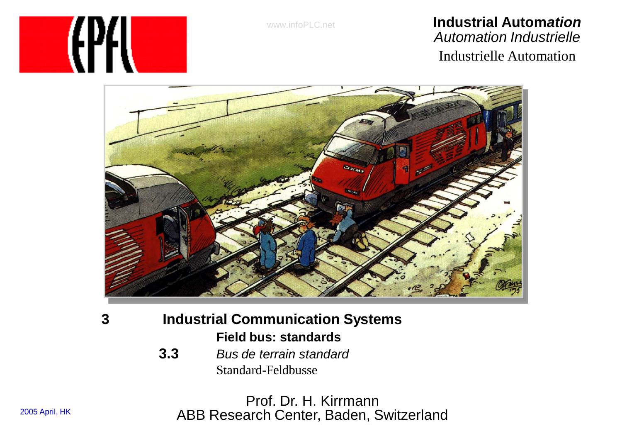www.infoPLC.net

#### **Industrial Autom***ation Automation Industrielle* Industrielle Automation





- **3 Industrial Communication Systems Field bus: standards**
	- **3.3** *Bus de terrain standard* Standard-Feldbusse

Prof. Dr. H. Kirrmann ABB Research Center, Baden, Switzerland

2005 April, HK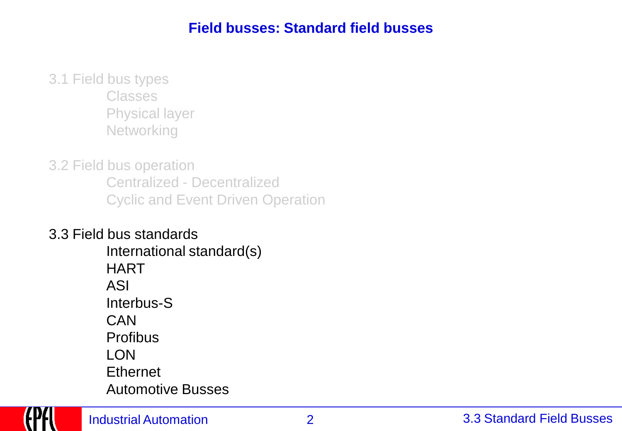#### **Field busses: Standard field busses**

3.1 Field bus types Classes Physical layer **Networking** 

3.2 Field bus operation Centralized - Decentralized Cyclic and Event Driven Operation

3.3 Field bus standards International standard(s) **HART** ASI Interbus-S CAN **Profibus** LON **Ethernet** Automotive Busses

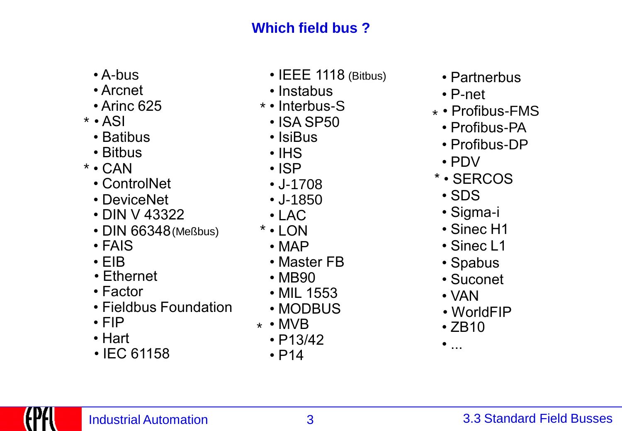# **Which field bus ?**

- A-bus
- Arcnet
- 
- $*$  ASI
	- Batibus
	- Bitbus
- CAN \*
	- ControlNet \* SERCOS
	- DeviceNet
	- DIN V 43322 Sigma-i
	- DIN 66348(Meßbus)
	- FAIS
	- EIB
	- Ethernet
	- Factor
	- Fieldbus Foundation
	- FIP
	- Hart
	- IEC 61158
- IEEE 1118 (Bitbus)
- Instabus
- Interbus-S \*
- ISA SP50
- IsiBus
- IHS
- ISP
- J-1708
- J-1850
- LAC
- LON \*
- MAP
- Master FB
- MB90
- MIL 1553
- MODBUS
- $\star \cdot MVB$
- P13/42
- $\cdot$  P14
- Partnerbus
- P-net
- Arinc 625 Profibus-FMS \*
	- Profibus-PA
	- Profibus-DP
	- PDV
	-
	-
	-
	- Sinec H1
	- Sinec L1
	- Spabus
	- Suconet
	- VAN
	- WorldFIP
	- $\cdot$  ZB10
	- $\bullet$  ...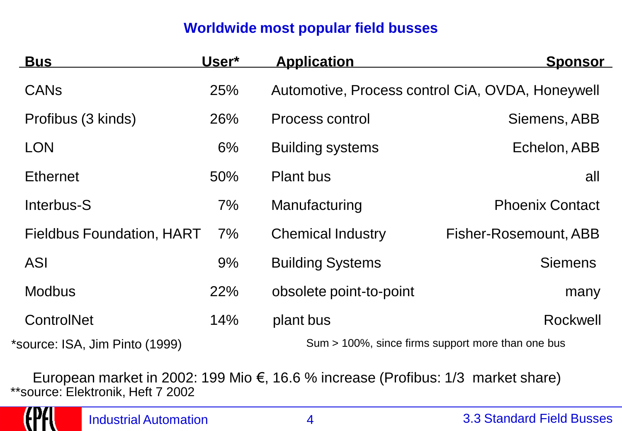### **Worldwide most popular field busses**

| <b>Bus</b>                       | User* | <b>Application</b>       | <u>Sponsor</u>                                    |
|----------------------------------|-------|--------------------------|---------------------------------------------------|
| <b>CAN<sub>s</sub></b>           | 25%   |                          | Automotive, Process control CiA, OVDA, Honeywell  |
| Profibus (3 kinds)               | 26%   | Process control          | Siemens, ABB                                      |
| <b>LON</b>                       | 6%    | <b>Building systems</b>  | Echelon, ABB                                      |
| <b>Ethernet</b>                  | 50%   | <b>Plant bus</b>         | all                                               |
| Interbus-S                       | 7%    | Manufacturing            | <b>Phoenix Contact</b>                            |
| <b>Fieldbus Foundation, HART</b> | $7\%$ | <b>Chemical Industry</b> | Fisher-Rosemount, ABB                             |
| <b>ASI</b>                       | 9%    | <b>Building Systems</b>  | <b>Siemens</b>                                    |
| <b>Modbus</b>                    | 22%   | obsolete point-to-point  | many                                              |
| ControlNet                       | 14%   | plant bus                | Rockwell                                          |
| *source: ISA, Jim Pinto (1999)   |       |                          | Sum > 100%, since firms support more than one bus |

European market in 2002: 199 Mio €, 16.6 % increase (Profibus: 1/3 market share) \*\*source: Elektronik, Heft 7 2002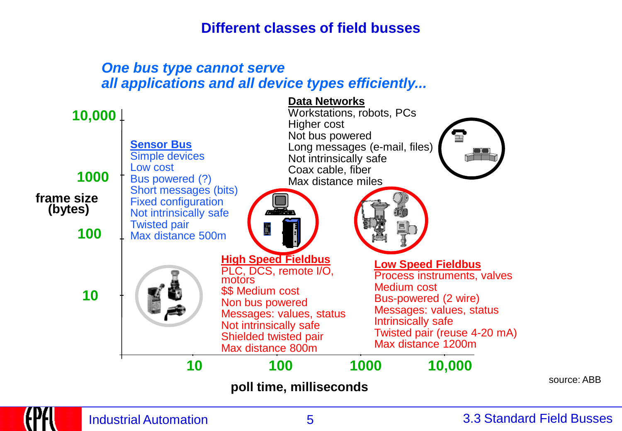#### **Different classes of field busses**

#### *One bus type cannot serve all applications and all device types efficiently...*

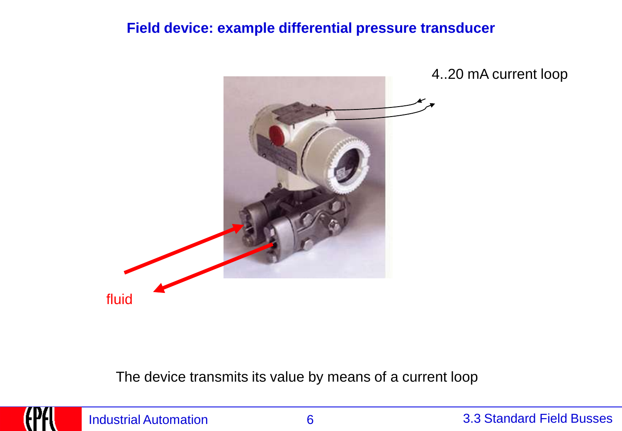#### **Field device: example differential pressure transducer**



4..20 mA current loop

The device transmits its value by means of a current loop

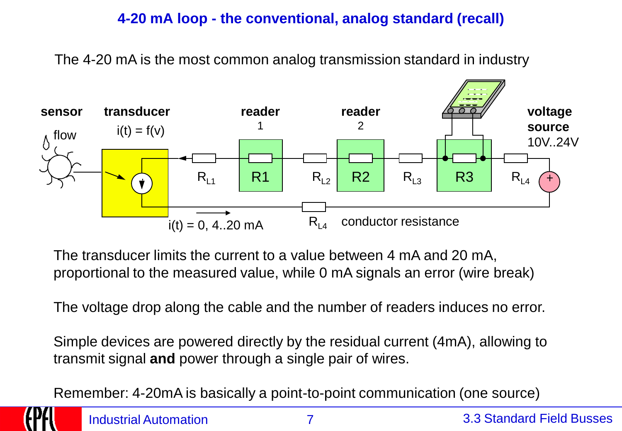### **4-20 mA loop - the conventional, analog standard (recall)**

The 4-20 mA is the most common analog transmission standard in industry



The transducer limits the current to a value between 4 mA and 20 mA, proportional to the measured value, while 0 mA signals an error (wire break)

The voltage drop along the cable and the number of readers induces no error.

Simple devices are powered directly by the residual current (4mA), allowing to transmit signal **and** power through a single pair of wires.

Remember: 4-20mA is basically a point-to-point communication (one source)

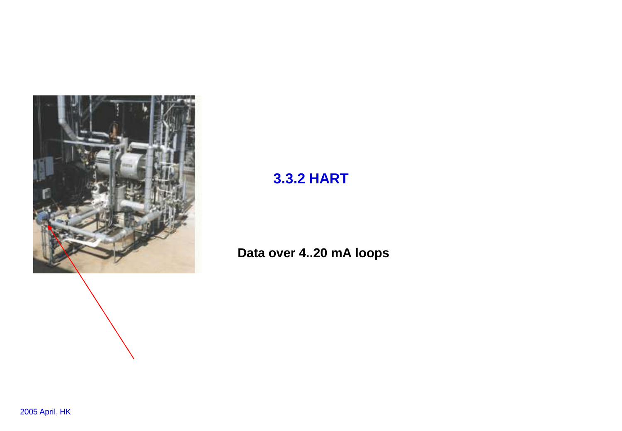

# **3.3.2 HART**

### **Data over 4..20 mA loops**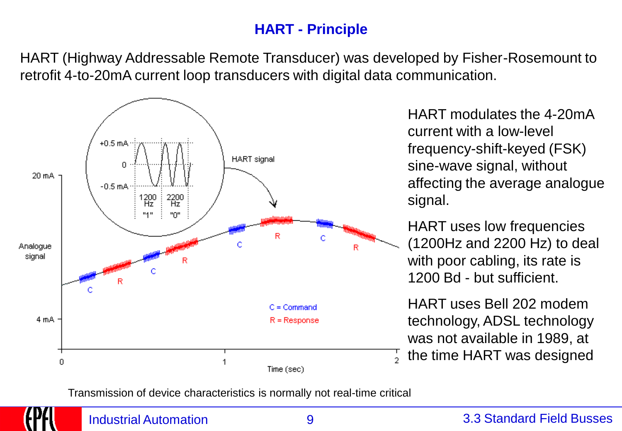## **HART - Principle**

HART (Highway Addressable Remote Transducer) was developed by Fisher-Rosemount to retrofit 4-to-20mA current loop transducers with digital data communication.



HART modulates the 4-20mA current with a low-level frequency-shift-keyed (FSK) sine-wave signal, without affecting the average analogue signal.

HART uses low frequencies (1200Hz and 2200 Hz) to deal with poor cabling, its rate is 1200 Bd - but sufficient.

HART uses Bell 202 modem technology, ADSL technology was not available in 1989, at  $\frac{1}{2}$  the time HART was designed

Transmission of device characteristics is normally not real-time critical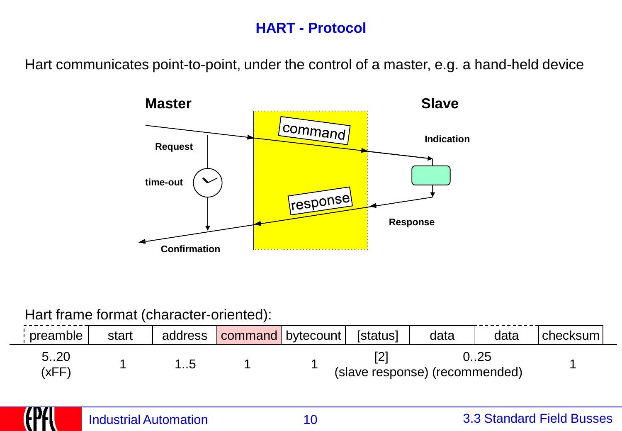### **HART - Protocol**

Hart communicates point-to-point, under the control of a master, e.g. a hand-held device



#### Hart frame format (character-oriented):

| preamble      | start | address | command   bytecount | [status] | data                           | data | checksum |
|---------------|-------|---------|---------------------|----------|--------------------------------|------|----------|
| 5.20<br>(xFF) |       |         |                     |          | (slave response) (recommended) |      |          |

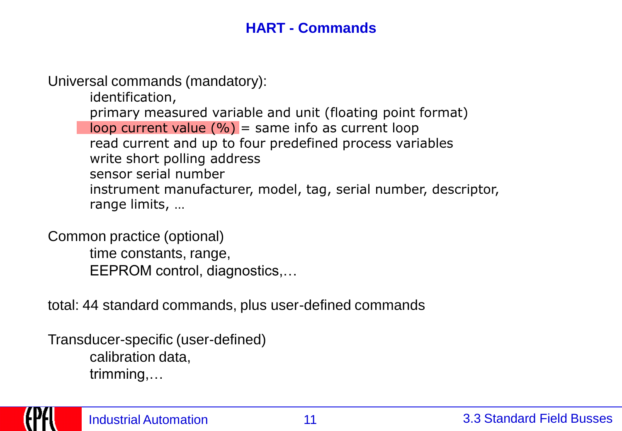### **HART - Commands**

Universal commands (mandatory):

identification,

primary measured variable and unit (floating point format) loop current value  $(\% )$  = same info as current loop read current and up to four predefined process variables write short polling address sensor serial number instrument manufacturer, model, tag, serial number, descriptor, range limits, …

Common practice (optional) time constants, range, EEPROM control, diagnostics,…

total: 44 standard commands, plus user-defined commands

Transducer-specific (user-defined) calibration data, trimming,…

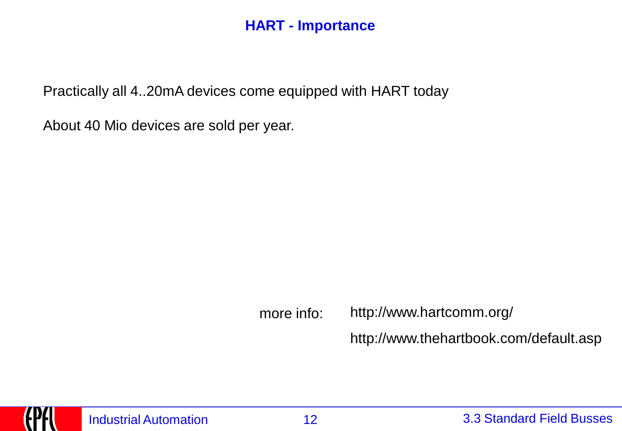#### **HART - Importance**

Practically all 4..20mA devices come equipped with HART today

About 40 Mio devices are sold per year.

more info: http://www.thehartbook.com/default.asp http://www.hartcomm.org/

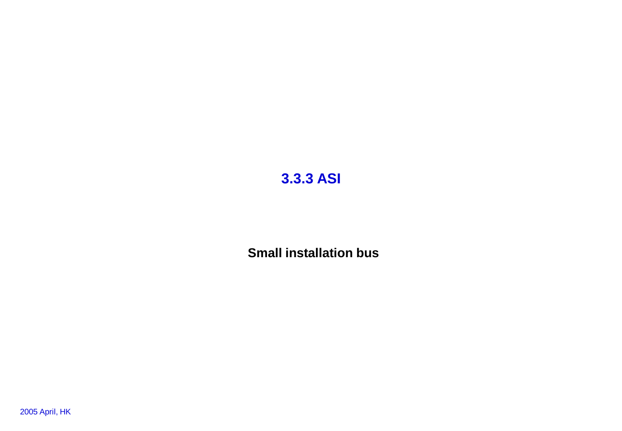## **3.3.3 ASI**

**Small installation bus**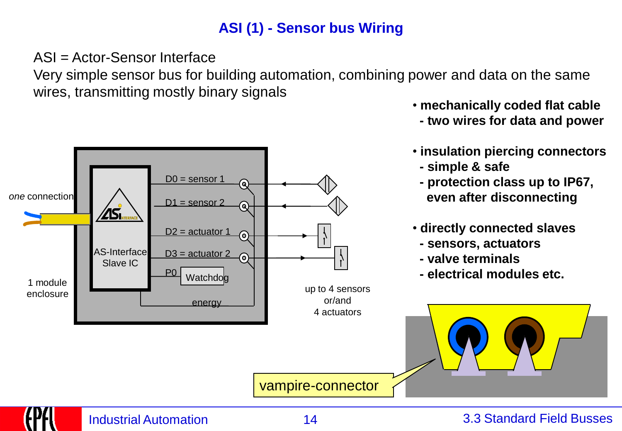# **ASI (1) - Sensor bus Wiring**

ASI = Actor-Sensor Interface

Very simple sensor bus for building automation, combining power and data on the same wires, transmitting mostly binary signals



- **mechanically coded flat cable**
- **- two wires for data and power**
- **insulation piercing connectors**
- **- simple & safe**
- **- protection class up to IP67, even after disconnecting**
- **directly connected slaves**
- **- sensors, actuators**
- **- valve terminals**
- **- electrical modules etc.**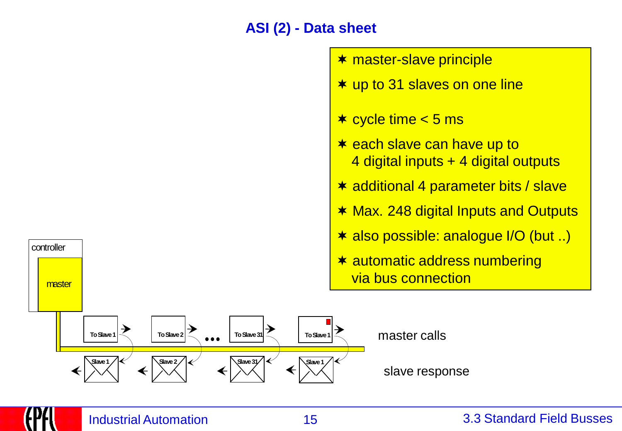### **ASI (2) - Data sheet**

master-slave principle

 $★$  cycle time  $<$  5 ms

up to 31 slaves on one line

 $\star$  each slave can have up to

4 digital inputs + 4 digital outputs

\* additional 4 parameter bits / slave



#### Industrial Automation 15 3.3 Standard Field Busses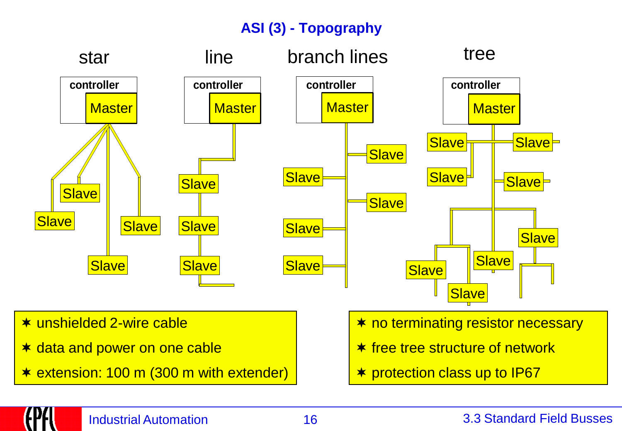# **ASI (3) - Topography**



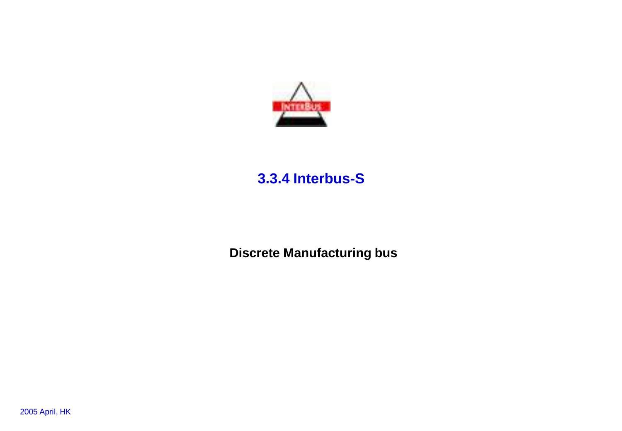

### **3.3.4 Interbus-S**

**Discrete Manufacturing bus**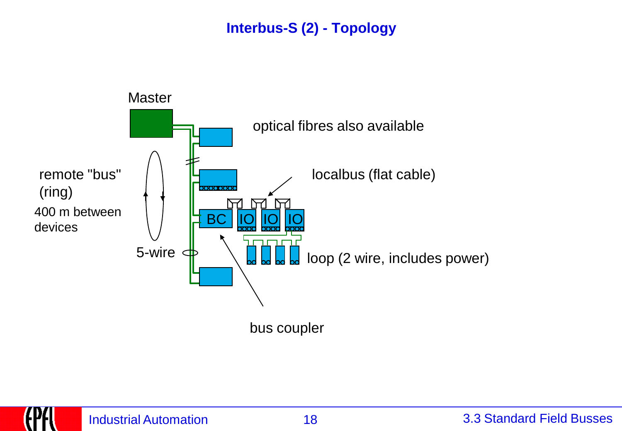# **Interbus-S (2) - Topology**

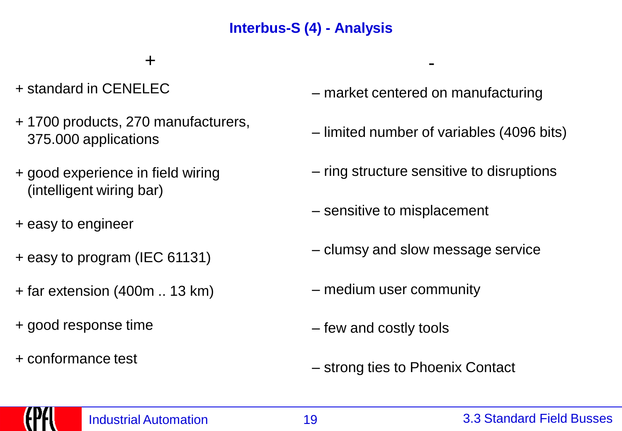# **Interbus-S (4) - Analysis**

+ -

- + standard in CENELEC
- + 1700 products, 270 manufacturers, 375.000 applications
- + good experience in field wiring (intelligent wiring bar)
- + easy to engineer
- 
- + far extension (400m .. 13 km)
- + good response time
- + conformance test
- market centered on manufacturing
- limited number of variables (4096 bits)
- ring structure sensitive to disruptions
- sensitive to misplacement
- <sup>+</sup> easy to program (IEC 61131) clumsy and slow message service
	- medium user community
	- few and costly tools
	- strong ties to Phoenix Contact

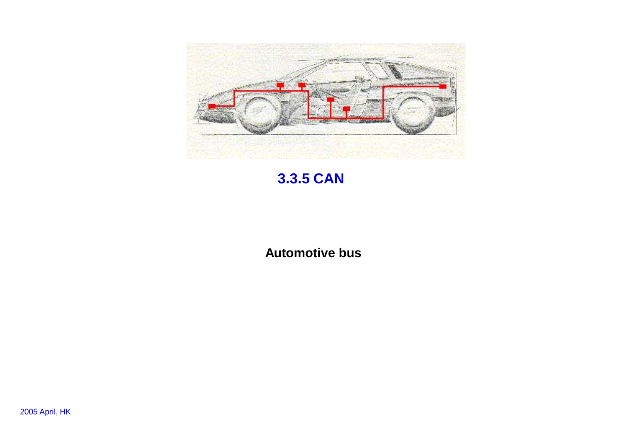

# **3.3.5 CAN**

**Automotive bus**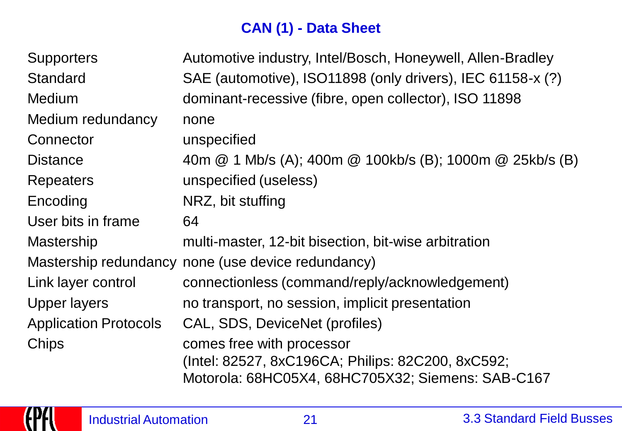# **CAN (1) - Data Sheet**

| <b>Supporters</b>            | Automotive industry, Intel/Bosch, Honeywell, Allen-Bradley                                                                          |
|------------------------------|-------------------------------------------------------------------------------------------------------------------------------------|
| <b>Standard</b>              | SAE (automotive), ISO11898 (only drivers), IEC 61158-x (?)                                                                          |
| <b>Medium</b>                | dominant-recessive (fibre, open collector), ISO 11898                                                                               |
| Medium redundancy            | none                                                                                                                                |
| Connector                    | unspecified                                                                                                                         |
| <b>Distance</b>              | 40m @ 1 Mb/s (A); 400m @ 100kb/s (B); 1000m @ 25kb/s (B)                                                                            |
| <b>Repeaters</b>             | unspecified (useless)                                                                                                               |
| Encoding                     | NRZ, bit stuffing                                                                                                                   |
| User bits in frame           | 64                                                                                                                                  |
| <b>Mastership</b>            | multi-master, 12-bit bisection, bit-wise arbitration                                                                                |
|                              | Mastership redundancy none (use device redundancy)                                                                                  |
| Link layer control           | connectionless (command/reply/acknowledgement)                                                                                      |
| <b>Upper layers</b>          | no transport, no session, implicit presentation                                                                                     |
| <b>Application Protocols</b> | CAL, SDS, DeviceNet (profiles)                                                                                                      |
| Chips                        | comes free with processor<br>(Intel: 82527, 8xC196CA; Philips: 82C200, 8xC592;<br>Motorola: 68HC05X4, 68HC705X32; Siemens: SAB-C167 |

(FFF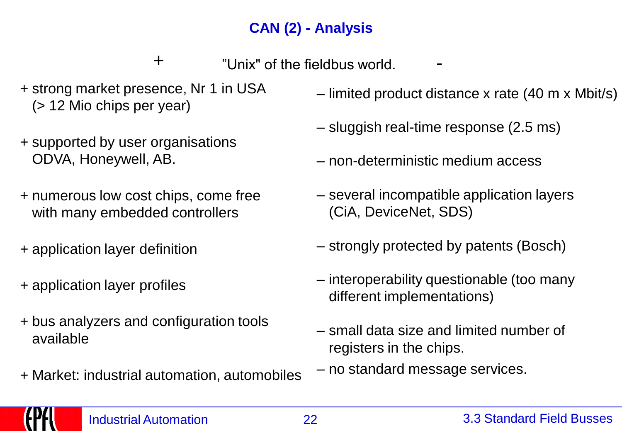# **CAN (2) - Analysis**

- + "Unix" of the fieldbus world.
- + strong market presence, Nr 1 in USA (> 12 Mio chips per year)
- + supported by user organisations ODVA, Honeywell, AB.
- + numerous low cost chips, come free with many embedded controllers
- + application layer definition
- + application layer profiles
- + bus analyzers and configuration tools available
- + Market: industrial automation, automobiles
- limited product distance x rate (40 m x Mbit/s)
- sluggish real-time response (2.5 ms)
- non-deterministic medium access
- several incompatible application layers (CiA, DeviceNet, SDS)
- strongly protected by patents (Bosch)
- interoperability questionable (too many different implementations)
- small data size and limited number of registers in the chips.
- no standard message services.

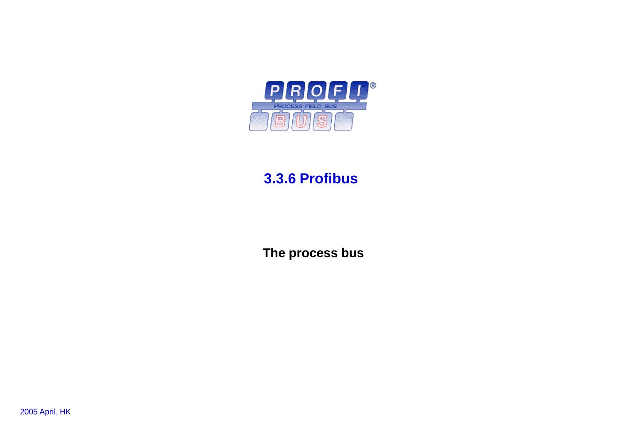

### **3.3.6 Profibus**

**The process bus**

2005 April, HK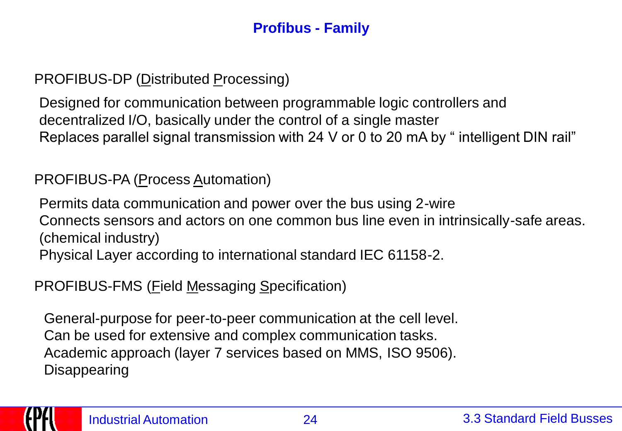# **Profibus - Family**

PROFIBUS-DP (Distributed Processing)

Designed for communication between programmable logic controllers and decentralized I/O, basically under the control of a single master Replaces parallel signal transmission with 24 V or 0 to 20 mA by " intelligent DIN rail"

### PROFIBUS-PA (Process Automation)

Permits data communication and power over the bus using 2-wire Connects sensors and actors on one common bus line even in intrinsically-safe areas. (chemical industry) Physical Layer according to international standard IEC 61158-2.

PROFIBUS-FMS (Field Messaging Specification)

General-purpose for peer-to-peer communication at the cell level. Can be used for extensive and complex communication tasks. Academic approach (layer 7 services based on MMS, ISO 9506). **Disappearing** 

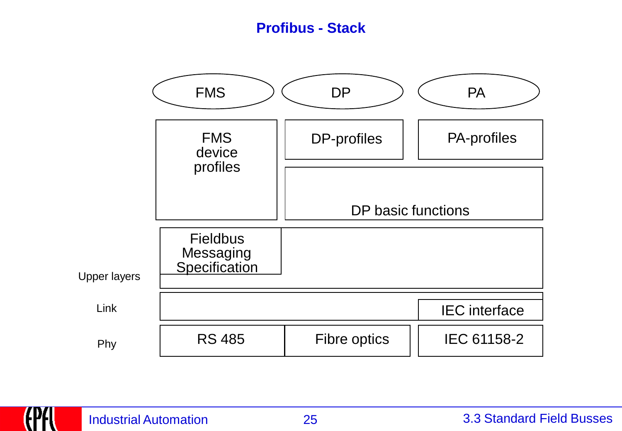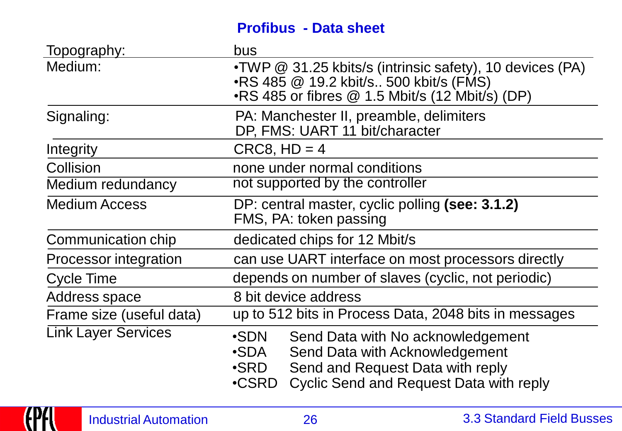### **Profibus - Data sheet**

| <u>Topography:</u>         | bus                                                                                                                                                                                        |
|----------------------------|--------------------------------------------------------------------------------------------------------------------------------------------------------------------------------------------|
| Medium:                    | •TWP @ 31.25 kbits/s (intrinsic safety), 10 devices (PA)<br>•RS 485 $@$ 19.2 kbit/s 500 kbit/s (FMS)<br>$\cdot$ RS 485 or fibres $\circledR$ 1.5 Mbit/s (12 Mbit/s) (DP)                   |
| Signaling:                 | PA: Manchester II, preamble, delimiters<br>DP, FMS: UART 11 bit/character                                                                                                                  |
| Integrity                  | $CRC8, HD = 4$                                                                                                                                                                             |
| Collision                  | none under normal conditions                                                                                                                                                               |
| Medium redundancy          | not supported by the controller                                                                                                                                                            |
| <b>Medium Access</b>       | DP: central master, cyclic polling (see: 3.1.2)<br>FMS, PA: token passing                                                                                                                  |
| Communication chip         | dedicated chips for 12 Mbit/s                                                                                                                                                              |
| Processor integration      | can use UART interface on most processors directly                                                                                                                                         |
| Cycle Time                 | depends on number of slaves (cyclic, not periodic)                                                                                                                                         |
| Address space              | 8 bit device address                                                                                                                                                                       |
| Frame size (useful data)   | up to 512 bits in Process Data, 2048 bits in messages                                                                                                                                      |
| <b>Link Layer Services</b> | •SDN<br>Send Data with No acknowledgement<br>Send Data with Acknowledgement<br>•SDA<br>Send and Request Data with reply<br>•SRD<br><b>Cyclic Send and Request Data with reply</b><br>•CSRD |

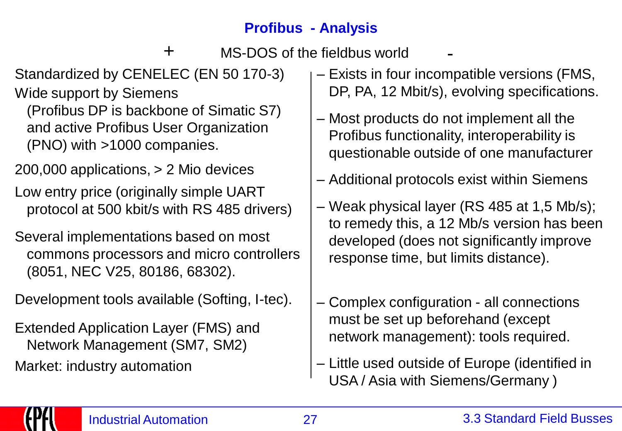# **Profibus - Analysis**

 $+$  MS-DOS of the fieldbus world

Standardized by CENELEC (EN 50 170-3)

Wide support by Siemens (Profibus DP is backbone of Simatic S7) and active Profibus User Organization (PNO) with >1000 companies.

200,000 applications, > 2 Mio devices

Low entry price (originally simple UART protocol at 500 kbit/s with RS 485 drivers)

Several implementations based on most commons processors and micro controllers (8051, NEC V25, 80186, 68302).

Development tools available (Softing, I-tec).

Extended Application Layer (FMS) and Network Management (SM7, SM2) Market: industry automation

- Exists in four incompatible versions (FMS, DP, PA, 12 Mbit/s), evolving specifications.
- Most products do not implement all the Profibus functionality, interoperability is questionable outside of one manufacturer
- Additional protocols exist within Siemens
- Weak physical layer (RS 485 at 1,5 Mb/s); to remedy this, a 12 Mb/s version has been developed (does not significantly improve response time, but limits distance).
- Complex configuration all connections must be set up beforehand (except network management): tools required.
- Little used outside of Europe (identified in USA / Asia with Siemens/Germany )

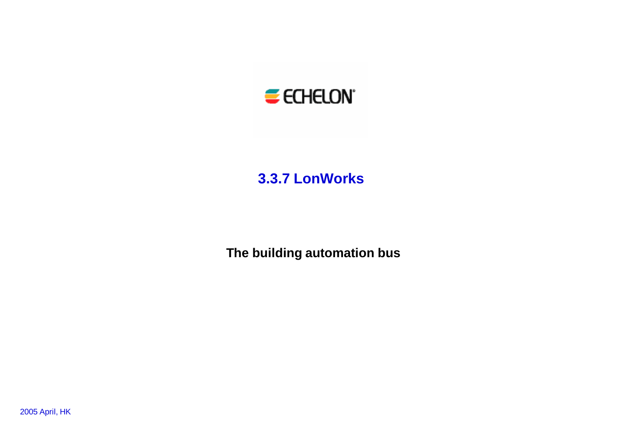

#### **3.3.7 LonWorks**

**The building automation bus**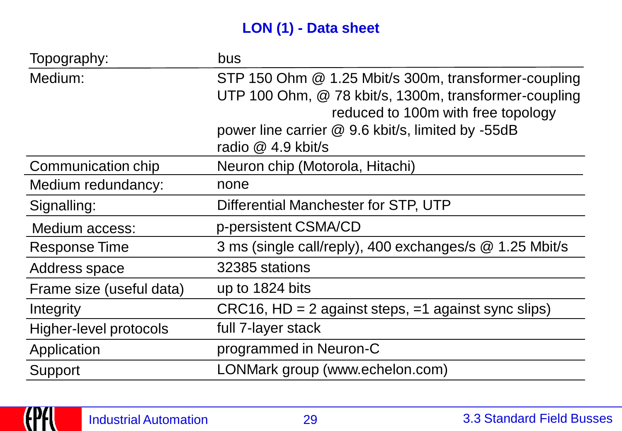# **LON (1) - Data sheet**

| Topography:              | bus                                                     |
|--------------------------|---------------------------------------------------------|
| Medium:                  | STP 150 Ohm @ 1.25 Mbit/s 300m, transformer-coupling    |
|                          | UTP 100 Ohm, @ 78 kbit/s, 1300m, transformer-coupling   |
|                          | reduced to 100m with free topology                      |
|                          | power line carrier @ 9.6 kbit/s, limited by -55dB       |
|                          | radio @ 4.9 kbit/s                                      |
| Communication chip       | Neuron chip (Motorola, Hitachi)                         |
| Medium redundancy:       | none                                                    |
| Signalling:              | Differential Manchester for STP, UTP                    |
| Medium access:           | p-persistent CSMA/CD                                    |
| Response Time            | 3 ms (single call/reply), 400 exchanges/s @ 1.25 Mbit/s |
| Address space            | 32385 stations                                          |
| Frame size (useful data) | up to 1824 bits                                         |
| Integrity                | $CRC16$ , HD = 2 against steps, =1 against sync slips)  |
| Higher-level protocols   | full 7-layer stack                                      |
| Application              | programmed in Neuron-C                                  |
| Support                  | LONMark group (www.echelon.com)                         |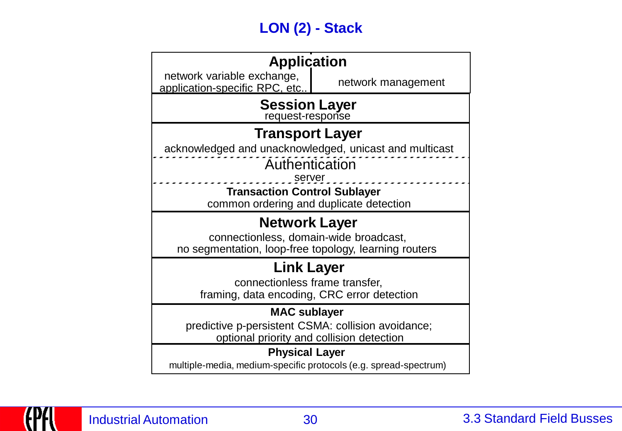# **LON (2) - Stack**

| <b>Application</b>                                                             |                    |
|--------------------------------------------------------------------------------|--------------------|
| network variable exchange,<br>application-specific RPC, etc                    | network management |
| <b>Session Layer</b><br>request-response                                       |                    |
| <b>Transport Layer</b>                                                         |                    |
| acknowledged and unacknowledged, unicast and multicast                         |                    |
| Authentication                                                                 |                    |
| server                                                                         |                    |
| <b>Transaction Control Sublayer</b><br>common ordering and duplicate detection |                    |
|                                                                                |                    |
|                                                                                |                    |
| <b>Network Layer</b>                                                           |                    |
| connectionless, domain-wide broadcast,                                         |                    |
| no segmentation, loop-free topology, learning routers                          |                    |
| <b>Link Layer</b>                                                              |                    |
| connectionless frame transfer,                                                 |                    |
| framing, data encoding, CRC error detection                                    |                    |
| <b>MAC sublayer</b>                                                            |                    |
| predictive p-persistent CSMA: collision avoidance;                             |                    |
| optional priority and collision detection                                      |                    |
| <b>Physical Layer</b>                                                          |                    |

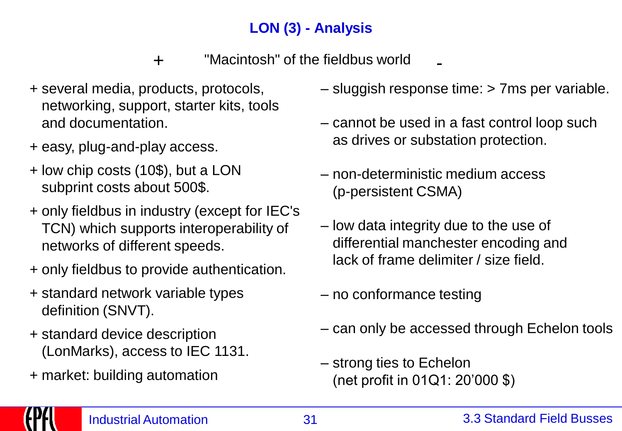# **LON (3) - Analysis**

"Macintosh" of the fieldbus world + -

- + several media, products, protocols, networking, support, starter kits, tools and documentation.
- + easy, plug-and-play access.
- + low chip costs (10\$), but a LON subprint costs about 500\$.
- + only fieldbus in industry (except for IEC's TCN) which supports interoperability of networks of different speeds.
- + only fieldbus to provide authentication.
- + standard network variable types definition (SNVT).
- + standard device description (LonMarks), access to IEC 1131.
- + market: building automation
- sluggish response time: > 7ms per variable.
- cannot be used in a fast control loop such as drives or substation protection.
- non-deterministic medium access (p-persistent CSMA)
- low data integrity due to the use of differential manchester encoding and lack of frame delimiter / size field.
- no conformance testing
- can only be accessed through Echelon tools
- strong ties to Echelon (net profit in 01Q1: 20'000 \$)

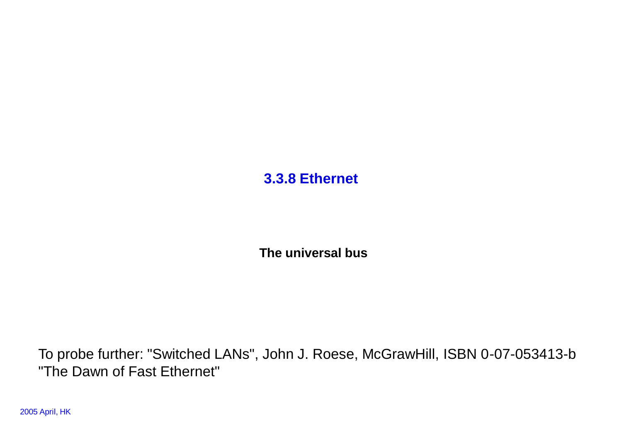**3.3.8 Ethernet**

**The universal bus**

To probe further: "Switched LANs", John J. Roese, McGrawHill, ISBN 0-07-053413-b "The Dawn of Fast Ethernet"

2005 April, HK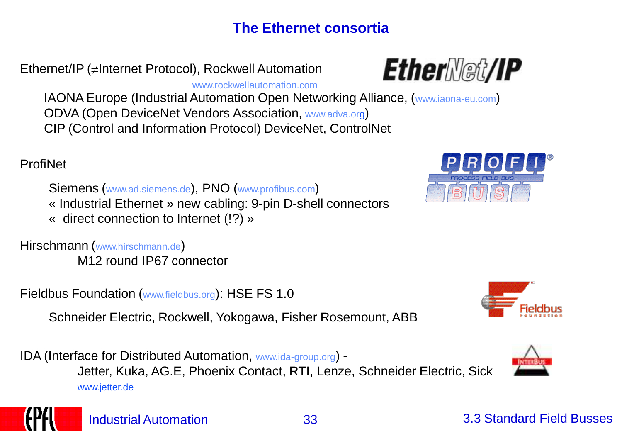# **The Ethernet consortia**

Ethernet/IP ( $\neq$ Internet Protocol), Rockwell Automation

www.rockwellautomation.com

IAONA Europe (Industrial Automation Open Networking Alliance, (www.iaona-eu.com) ODVA (Open DeviceNet Vendors Association, www.adva.org) CIP (Control and Information Protocol) DeviceNet, ControlNet

ProfiNet

Siemens (www.ad.siemens.de), PNO (www.profibus.com) « Industrial Ethernet » new cabling: 9-pin D-shell connectors « direct connection to Internet (!?) »

Hirschmann (www.hirschmann.de) M12 round IP67 connector

Fieldbus Foundation (www.fieldbus.org): HSE FS 1.0

Schneider Electric, Rockwell, Yokogawa, Fisher Rosemount, ABB

IDA (Interface for Distributed Automation, www.ida-group.org) - Jetter, Kuka, AG.E, Phoenix Contact, RTI, Lenze, Schneider Electric, Sick www.jetter.de











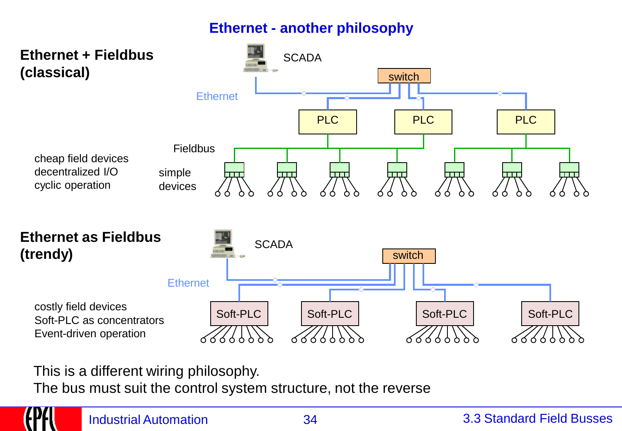### **Ethernet - another philosophy**



This is a different wiring philosophy.

The bus must suit the control system structure, not the reverse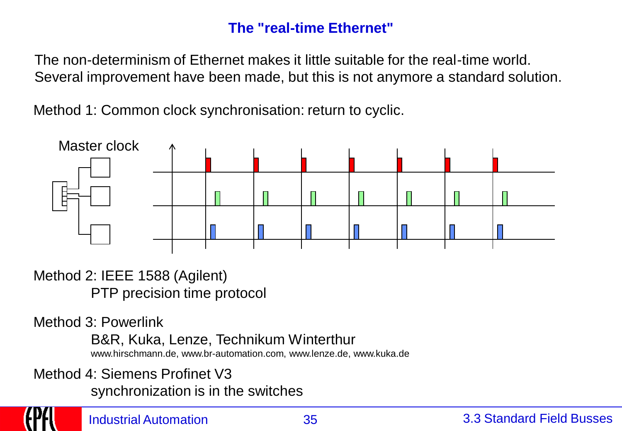#### **The "real-time Ethernet"**

The non-determinism of Ethernet makes it little suitable for the real-time world. Several improvement have been made, but this is not anymore a standard solution.

Method 1: Common clock synchronisation: return to cyclic.



Method 2: IEEE 1588 (Agilent) PTP precision time protocol

Method 3: Powerlink

B&R, Kuka, Lenze, Technikum Winterthur

www.hirschmann.de, www.br-automation.com, www.lenze.de, www.kuka.de

Method 4: Siemens Profinet V3

synchronization is in the switches

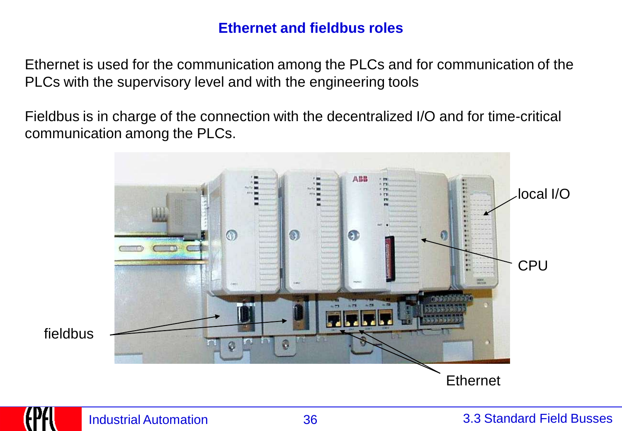#### **Ethernet and fieldbus roles**

Ethernet is used for the communication among the PLCs and for communication of the PLCs with the supervisory level and with the engineering tools

Fieldbus is in charge of the connection with the decentralized I/O and for time-critical communication among the PLCs.



fieldbus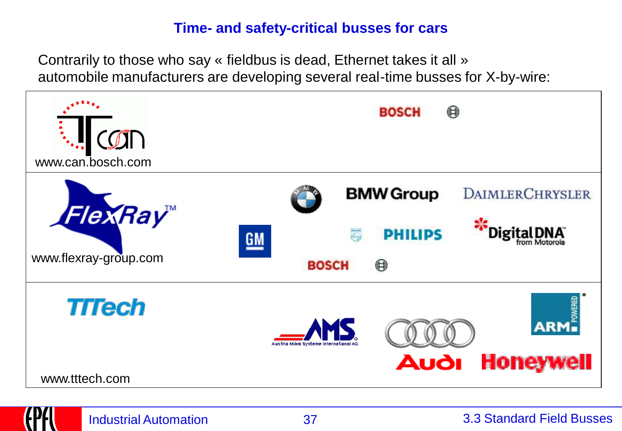#### **Time- and safety-critical busses for cars**

Contrarily to those who say « fieldbus is dead, Ethernet takes it all » automobile manufacturers are developing several real-time busses for X-by-wire:

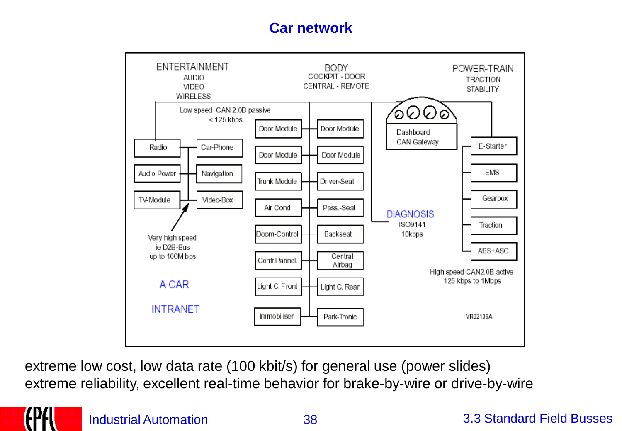### **Car network**



extreme low cost, low data rate (100 kbit/s) for general use (power slides) extreme reliability, excellent real-time behavior for brake-by-wire or drive-by-wire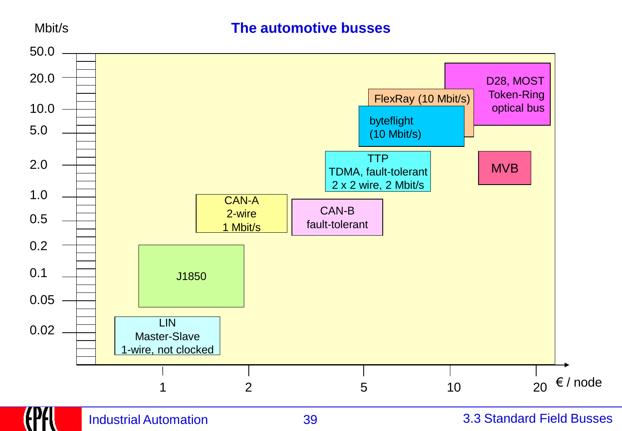Mbit/s

#### **The automotive busses**

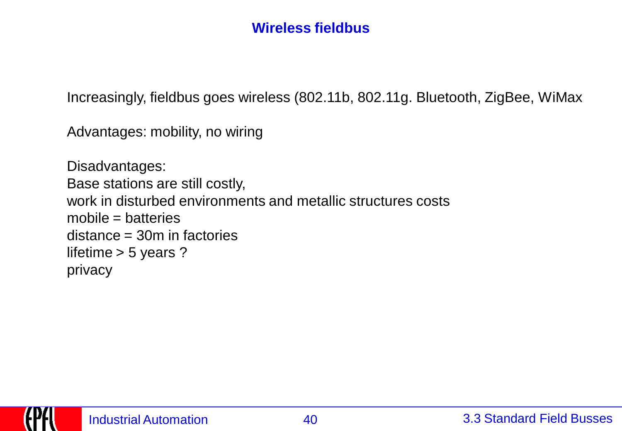### **Wireless fieldbus**

Increasingly, fieldbus goes wireless (802.11b, 802.11g. Bluetooth, ZigBee, WiMax

Advantages: mobility, no wiring

Disadvantages: Base stations are still costly, work in disturbed environments and metallic structures costs mobile = batteries distance = 30m in factories lifetime > 5 years ? privacy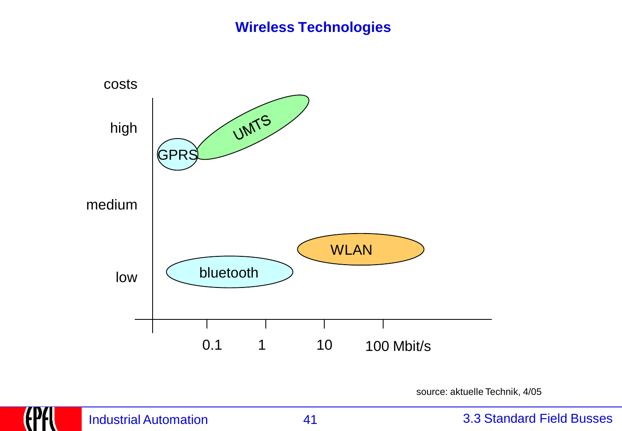#### **Wireless Technologies**



source: aktuelle Technik, 4/05

#### Industrial Automation 41 3.3 Standard Field Busses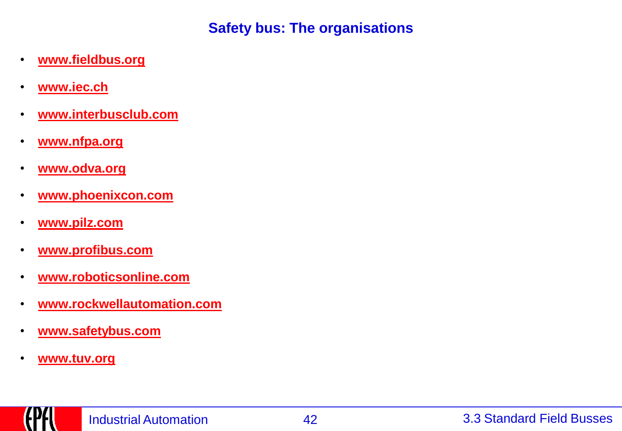**Safety bus: The organisations**

- **[www.fieldbus.org](http://www.fieldbus.org/)**
- **[www.iec.ch](http://www.iec.ch/)**
- **[www.interbusclub.com](http://www.interbusclub.com/)**
- **[www.nfpa.org](http://www.nfpa.org/)**
- **[www.odva.org](http://www.odva.org/)**
- **[www.phoenixcon.com](http://www.phoenixcon.com/)**
- **[www.pilz.com](http://www.pilz.com/)**
- **[www.profibus.com](http://www.profibus.com/)**
- **[www.roboticsonline.com](http://www.roboticsonline.com/)**
- **[www.rockwellautomation.com](http://www.rockwellautomation.com/)**
- **[www.safetybus.com](http://www.safetybus.com/)**
- **[www.tuv.org](http://www.tuv.org/)**

trr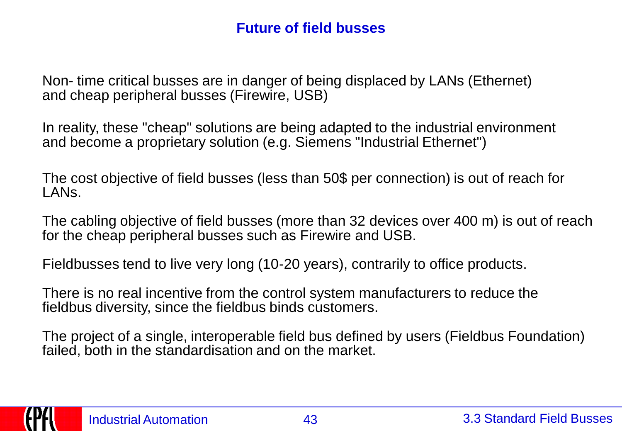### **Future of field busses**

Non- time critical busses are in danger of being displaced by LANs (Ethernet) and cheap peripheral busses (Firewire, USB)

In reality, these "cheap" solutions are being adapted to the industrial environment and become a proprietary solution (e.g. Siemens "Industrial Ethernet")

The cost objective of field busses (less than 50\$ per connection) is out of reach for LANs.

The cabling objective of field busses (more than 32 devices over 400 m) is out of reach for the cheap peripheral busses such as Firewire and USB.

Fieldbusses tend to live very long (10-20 years), contrarily to office products.

There is no real incentive from the control system manufacturers to reduce the fieldbus diversity, since the fieldbus binds customers.

The project of a single, interoperable field bus defined by users (Fieldbus Foundation) failed, both in the standardisation and on the market.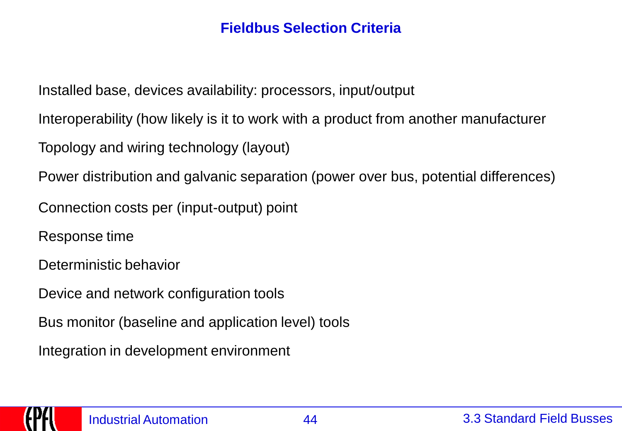### **Fieldbus Selection Criteria**

Installed base, devices availability: processors, input/output

Interoperability (how likely is it to work with a product from another manufacturer

Topology and wiring technology (layout)

Power distribution and galvanic separation (power over bus, potential differences)

Connection costs per (input-output) point

Response time

Deterministic behavior

Device and network configuration tools

Bus monitor (baseline and application level) tools

Integration in development environment